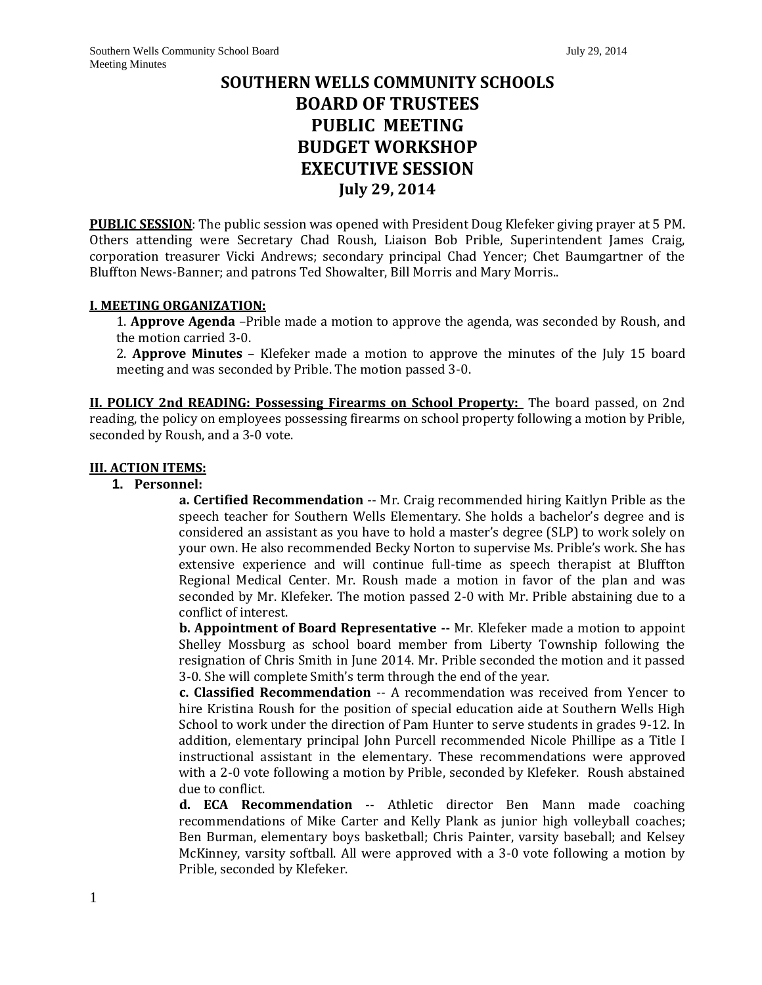# **SOUTHERN WELLS COMMUNITY SCHOOLS BOARD OF TRUSTEES PUBLIC MEETING BUDGET WORKSHOP EXECUTIVE SESSION July 29, 2014**

**PUBLIC SESSION**: The public session was opened with President Doug Klefeker giving prayer at 5 PM. Others attending were Secretary Chad Roush, Liaison Bob Prible, Superintendent James Craig, corporation treasurer Vicki Andrews; secondary principal Chad Yencer; Chet Baumgartner of the Bluffton News-Banner; and patrons Ted Showalter, Bill Morris and Mary Morris..

### **I. MEETING ORGANIZATION:**

1. **Approve Agenda** –Prible made a motion to approve the agenda, was seconded by Roush, and the motion carried 3-0.

2. **Approve Minutes** – Klefeker made a motion to approve the minutes of the July 15 board meeting and was seconded by Prible. The motion passed 3-0.

**II. POLICY 2nd READING: Possessing Firearms on School Property:** The board passed, on 2nd reading, the policy on employees possessing firearms on school property following a motion by Prible, seconded by Roush, and a 3-0 vote.

### **III. ACTION ITEMS:**

### **1. Personnel:**

**a. Certified Recommendation** -- Mr. Craig recommended hiring Kaitlyn Prible as the speech teacher for Southern Wells Elementary. She holds a bachelor's degree and is considered an assistant as you have to hold a master's degree (SLP) to work solely on your own. He also recommended Becky Norton to supervise Ms. Prible's work. She has extensive experience and will continue full-time as speech therapist at Bluffton Regional Medical Center. Mr. Roush made a motion in favor of the plan and was seconded by Mr. Klefeker. The motion passed 2-0 with Mr. Prible abstaining due to a conflict of interest.

**b. Appointment of Board Representative --** Mr. Klefeker made a motion to appoint Shelley Mossburg as school board member from Liberty Township following the resignation of Chris Smith in June 2014. Mr. Prible seconded the motion and it passed 3-0. She will complete Smith's term through the end of the year.

**c. Classified Recommendation** -- A recommendation was received from Yencer to hire Kristina Roush for the position of special education aide at Southern Wells High School to work under the direction of Pam Hunter to serve students in grades 9-12. In addition, elementary principal John Purcell recommended Nicole Phillipe as a Title I instructional assistant in the elementary. These recommendations were approved with a 2-0 vote following a motion by Prible, seconded by Klefeker. Roush abstained due to conflict.

**d. ECA Recommendation** -- Athletic director Ben Mann made coaching recommendations of Mike Carter and Kelly Plank as junior high volleyball coaches; Ben Burman, elementary boys basketball; Chris Painter, varsity baseball; and Kelsey McKinney, varsity softball. All were approved with a 3-0 vote following a motion by Prible, seconded by Klefeker.